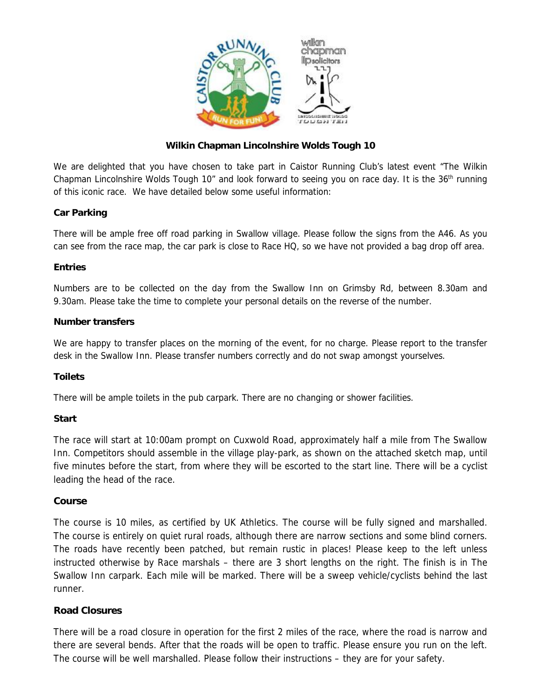

# **Wilkin Chapman Lincolnshire Wolds Tough 10**

We are delighted that you have chosen to take part in Caistor Running Club's latest event "The Wilkin Chapman Lincolnshire Wolds Tough 10" and look forward to seeing you on race day. It is the  $36<sup>th</sup>$  running of this iconic race. We have detailed below some useful information:

## **Car Parking**

There will be ample free off road parking in Swallow village. Please follow the signs from the A46. As you can see from the race map, the car park is close to Race HQ, so we have not provided a bag drop off area.

### **Entries**

Numbers are to be collected on the day from the Swallow Inn on Grimsby Rd, between 8.30am and 9.30am. Please take the time to complete your personal details on the reverse of the number.

#### **Number transfers**

We are happy to transfer places on the morning of the event, for no charge. Please report to the transfer desk in the Swallow Inn. Please transfer numbers correctly and do not swap amongst yourselves.

## **Toilets**

There will be ample toilets in the pub carpark. There are no changing or shower facilities.

#### **Start**

The race will start at 10:00am prompt on Cuxwold Road, approximately half a mile from The Swallow Inn. Competitors should assemble in the village play-park, as shown on the attached sketch map, until five minutes before the start, from where they will be escorted to the start line. There will be a cyclist leading the head of the race.

#### **Course**

The course is 10 miles, as certified by UK Athletics. The course will be fully signed and marshalled. The course is entirely on quiet rural roads, although there are narrow sections and some blind corners. The roads have recently been patched, but remain rustic in places! Please keep to the left unless instructed otherwise by Race marshals – there are 3 short lengths on the right. The finish is in The Swallow Inn carpark. Each mile will be marked. There will be a sweep vehicle/cyclists behind the last runner.

## **Road Closures**

There will be a road closure in operation for the first 2 miles of the race, where the road is narrow and there are several bends. After that the roads will be open to traffic. Please ensure you run on the left. The course will be well marshalled. Please follow their instructions – they are for your safety.